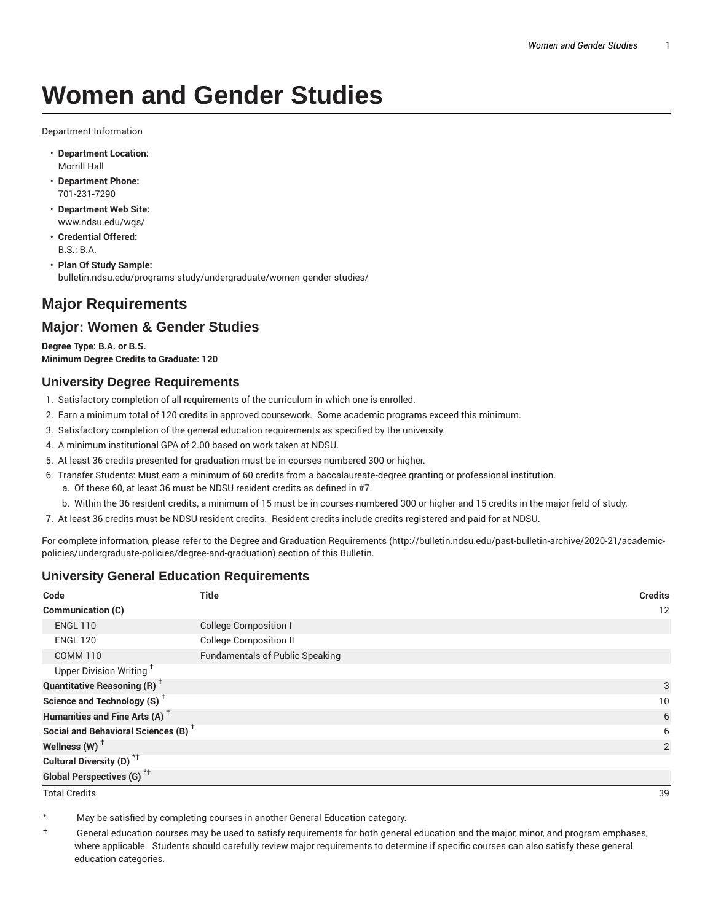# **Women and Gender Studies**

Department Information

- **Department Location:** Morrill Hall
- **Department Phone:** 701-231-7290
- **Department Web Site:** www.ndsu.edu/wgs/
- **Credential Offered:** B.S.; B.A.
- **Plan Of Study Sample:** bulletin.ndsu.edu/programs-study/undergraduate/women-gender-studies/

## **Major Requirements**

#### **Major: Women & Gender Studies**

**Degree Type: B.A. or B.S. Minimum Degree Credits to Graduate: 120**

#### **University Degree Requirements**

- 1. Satisfactory completion of all requirements of the curriculum in which one is enrolled.
- 2. Earn a minimum total of 120 credits in approved coursework. Some academic programs exceed this minimum.
- 3. Satisfactory completion of the general education requirements as specified by the university.
- 4. A minimum institutional GPA of 2.00 based on work taken at NDSU.
- 5. At least 36 credits presented for graduation must be in courses numbered 300 or higher.
- 6. Transfer Students: Must earn a minimum of 60 credits from a baccalaureate-degree granting or professional institution.
	- a. Of these 60, at least 36 must be NDSU resident credits as defined in #7.
	- b. Within the 36 resident credits, a minimum of 15 must be in courses numbered 300 or higher and 15 credits in the major field of study.
- 7. At least 36 credits must be NDSU resident credits. Resident credits include credits registered and paid for at NDSU.

For complete information, please refer to the Degree and Graduation Requirements (http://bulletin.ndsu.edu/past-bulletin-archive/2020-21/academicpolicies/undergraduate-policies/degree-and-graduation) section of this Bulletin.

#### **University General Education Requirements**

| Code                                            | <b>Title</b>                           | <b>Credits</b>  |
|-------------------------------------------------|----------------------------------------|-----------------|
| <b>Communication (C)</b>                        |                                        | 12              |
| <b>ENGL 110</b>                                 | <b>College Composition I</b>           |                 |
| <b>ENGL 120</b>                                 | <b>College Composition II</b>          |                 |
| <b>COMM 110</b>                                 | <b>Fundamentals of Public Speaking</b> |                 |
| Upper Division Writing <sup>+</sup>             |                                        |                 |
| <b>Quantitative Reasoning (R)</b> <sup>†</sup>  |                                        | 3               |
| Science and Technology (S) <sup>+</sup>         |                                        | 10 <sup>°</sup> |
| Humanities and Fine Arts (A) <sup>+</sup>       |                                        | 6               |
| Social and Behavioral Sciences (B) <sup>+</sup> |                                        | 6               |
| Wellness $(W)$ <sup>+</sup>                     |                                        | 2               |
| Cultural Diversity (D) <sup>*†</sup>            |                                        |                 |
| <b>Global Perspectives (G)<sup>*†</sup></b>     |                                        |                 |

Total Credits 39

May be satisfied by completing courses in another General Education category.

† General education courses may be used to satisfy requirements for both general education and the major, minor, and program emphases, where applicable. Students should carefully review major requirements to determine if specific courses can also satisfy these general education categories.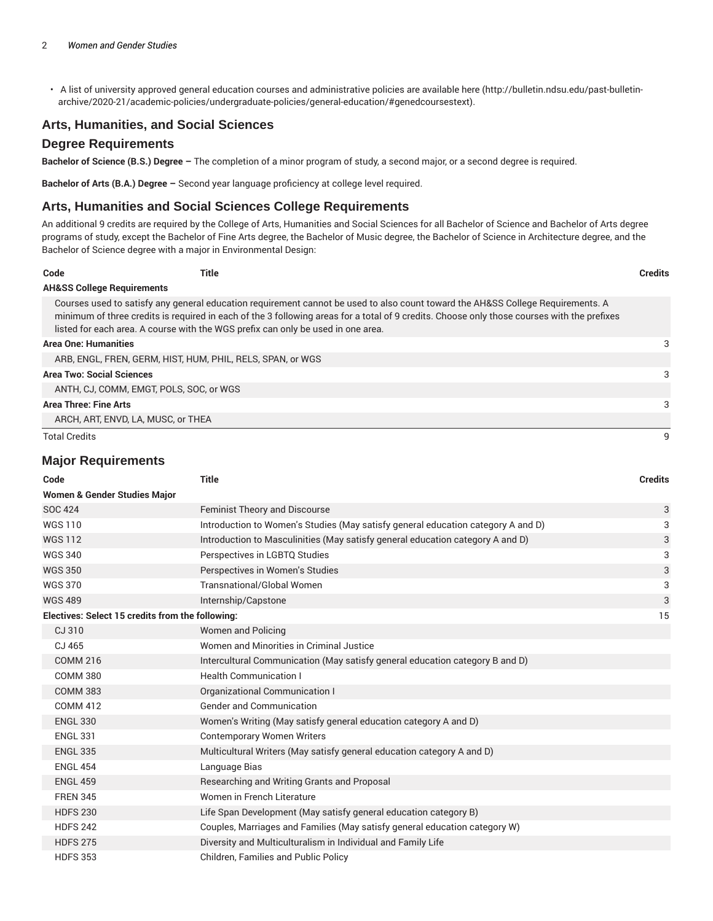• A list of university approved general education courses and administrative policies are available here (http://bulletin.ndsu.edu/past-bulletinarchive/2020-21/academic-policies/undergraduate-policies/general-education/#genedcoursestext).

#### **Arts, Humanities, and Social Sciences**

#### **Degree Requirements**

**Bachelor of Science (B.S.) Degree –** The completion of a minor program of study, a second major, or a second degree is required.

**Bachelor of Arts (B.A.) Degree –** Second year language proficiency at college level required.

#### **Arts, Humanities and Social Sciences College Requirements**

An additional 9 credits are required by the College of Arts, Humanities and Social Sciences for all Bachelor of Science and Bachelor of Arts degree programs of study, except the Bachelor of Fine Arts degree, the Bachelor of Music degree, the Bachelor of Science in Architecture degree, and the Bachelor of Science degree with a major in Environmental Design:

| Code                                  | Title                                                                            |                                                                                                                                                                                                                                                                                | <b>Credits</b> |
|---------------------------------------|----------------------------------------------------------------------------------|--------------------------------------------------------------------------------------------------------------------------------------------------------------------------------------------------------------------------------------------------------------------------------|----------------|
| <b>AH&amp;SS College Requirements</b> |                                                                                  |                                                                                                                                                                                                                                                                                |                |
|                                       | listed for each area. A course with the WGS prefix can only be used in one area. | Courses used to satisfy any general education requirement cannot be used to also count toward the AH&SS College Requirements. A<br>minimum of three credits is required in each of the 3 following areas for a total of 9 credits. Choose only those courses with the prefixes |                |
| <b>Area One: Humanities</b>           |                                                                                  |                                                                                                                                                                                                                                                                                | 3              |
|                                       | ARB, ENGL, FREN, GERM, HIST, HUM, PHIL, RELS, SPAN, or WGS                       |                                                                                                                                                                                                                                                                                |                |
| <b>Area Two: Social Sciences</b>      |                                                                                  |                                                                                                                                                                                                                                                                                | 3              |
|                                       | ANTH. CJ. COMM. EMGT. POLS. SOC. or WGS.                                         |                                                                                                                                                                                                                                                                                |                |
| <b>Area Three: Fine Arts</b>          |                                                                                  |                                                                                                                                                                                                                                                                                | 3              |
|                                       | ARCH, ART, ENVD, LA, MUSC, or THEA                                               |                                                                                                                                                                                                                                                                                |                |
| <b>Total Credits</b>                  |                                                                                  |                                                                                                                                                                                                                                                                                |                |

#### **Major Requirements**

| Code                                             | <b>Title</b>                                                                     | <b>Credits</b> |
|--------------------------------------------------|----------------------------------------------------------------------------------|----------------|
| Women & Gender Studies Major                     |                                                                                  |                |
| <b>SOC 424</b>                                   | <b>Feminist Theory and Discourse</b>                                             | 3              |
| <b>WGS110</b>                                    | Introduction to Women's Studies (May satisfy general education category A and D) | 3              |
| <b>WGS112</b>                                    | Introduction to Masculinities (May satisfy general education category A and D)   | 3              |
| <b>WGS 340</b>                                   | Perspectives in LGBTQ Studies                                                    | 3              |
| <b>WGS 350</b>                                   | Perspectives in Women's Studies                                                  | 3              |
| <b>WGS 370</b>                                   | <b>Transnational/Global Women</b>                                                | 3              |
| <b>WGS 489</b>                                   | Internship/Capstone                                                              | 3              |
| Electives: Select 15 credits from the following: |                                                                                  | 15             |
| CJ 310                                           | Women and Policing                                                               |                |
| CJ 465                                           | Women and Minorities in Criminal Justice                                         |                |
| <b>COMM 216</b>                                  | Intercultural Communication (May satisfy general education category B and D)     |                |
| <b>COMM 380</b>                                  | <b>Health Communication I</b>                                                    |                |
| <b>COMM 383</b>                                  | Organizational Communication I                                                   |                |
| <b>COMM 412</b>                                  | <b>Gender and Communication</b>                                                  |                |
| <b>ENGL 330</b>                                  | Women's Writing (May satisfy general education category A and D)                 |                |
| <b>ENGL 331</b>                                  | <b>Contemporary Women Writers</b>                                                |                |
| <b>ENGL 335</b>                                  | Multicultural Writers (May satisfy general education category A and D)           |                |
| <b>ENGL 454</b>                                  | Language Bias                                                                    |                |
| <b>ENGL 459</b>                                  | Researching and Writing Grants and Proposal                                      |                |
| <b>FREN 345</b>                                  | Women in French Literature                                                       |                |
| <b>HDFS 230</b>                                  | Life Span Development (May satisfy general education category B)                 |                |
| <b>HDFS 242</b>                                  | Couples, Marriages and Families (May satisfy general education category W)       |                |
| <b>HDFS 275</b>                                  | Diversity and Multiculturalism in Individual and Family Life                     |                |
| <b>HDFS 353</b>                                  | Children, Families and Public Policy                                             |                |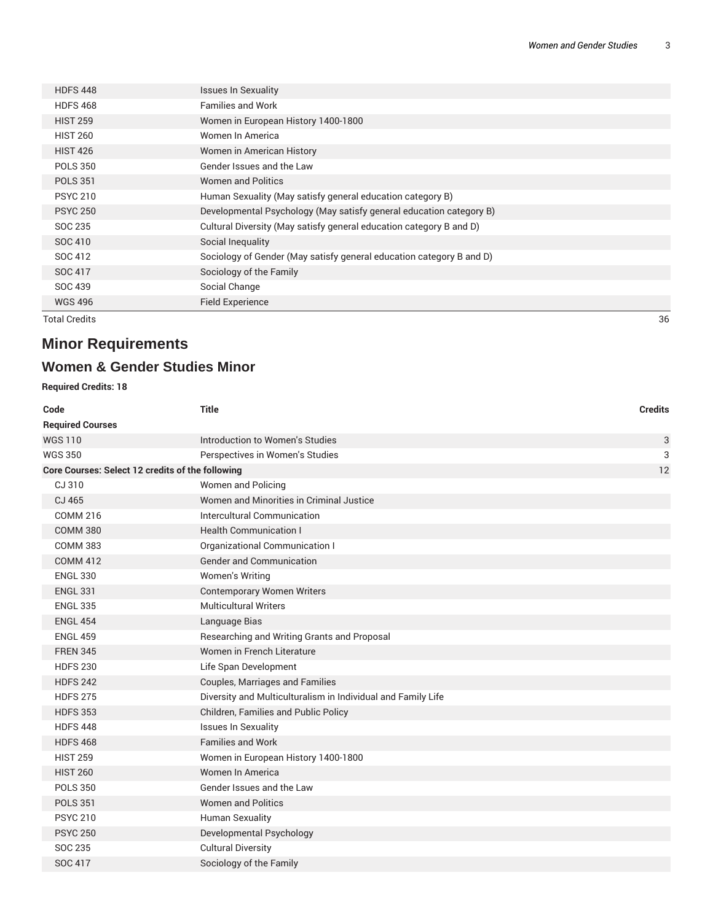| Total Credits   |                                                                      | 36 |
|-----------------|----------------------------------------------------------------------|----|
| <b>WGS 496</b>  | Field Experience                                                     |    |
| SOC 439         | Social Change                                                        |    |
| SOC 417         | Sociology of the Family                                              |    |
| SOC 412         | Sociology of Gender (May satisfy general education category B and D) |    |
| SOC 410         | Social Inequality                                                    |    |
| SOC 235         | Cultural Diversity (May satisfy general education category B and D)  |    |
| <b>PSYC 250</b> | Developmental Psychology (May satisfy general education category B)  |    |
| <b>PSYC 210</b> | Human Sexuality (May satisfy general education category B)           |    |
| <b>POLS 351</b> | <b>Women and Politics</b>                                            |    |
| <b>POLS 350</b> | Gender Issues and the Law                                            |    |
| <b>HIST 426</b> | Women in American History                                            |    |
| <b>HIST 260</b> | Women In America                                                     |    |
| <b>HIST 259</b> | Women in European History 1400-1800                                  |    |
| <b>HDFS468</b>  | <b>Families and Work</b>                                             |    |
| <b>HDFS 448</b> | <b>Issues In Sexuality</b>                                           |    |
|                 |                                                                      |    |

# **Minor Requirements**

# **Women & Gender Studies Minor**

#### **Required Credits: 18**

| Code                                             | <b>Title</b>                                                 | <b>Credits</b> |
|--------------------------------------------------|--------------------------------------------------------------|----------------|
| <b>Required Courses</b>                          |                                                              |                |
| <b>WGS110</b>                                    | Introduction to Women's Studies                              | 3              |
| <b>WGS 350</b>                                   | Perspectives in Women's Studies                              | 3              |
| Core Courses: Select 12 credits of the following |                                                              | 12             |
| CJ 310                                           | Women and Policing                                           |                |
| CJ 465                                           | Women and Minorities in Criminal Justice                     |                |
| <b>COMM 216</b>                                  | Intercultural Communication                                  |                |
| <b>COMM 380</b>                                  | <b>Health Communication I</b>                                |                |
| <b>COMM 383</b>                                  | Organizational Communication I                               |                |
| <b>COMM 412</b>                                  | <b>Gender and Communication</b>                              |                |
| <b>ENGL 330</b>                                  | Women's Writing                                              |                |
| <b>ENGL 331</b>                                  | <b>Contemporary Women Writers</b>                            |                |
| <b>ENGL 335</b>                                  | <b>Multicultural Writers</b>                                 |                |
| <b>ENGL 454</b>                                  | Language Bias                                                |                |
| <b>ENGL 459</b>                                  | Researching and Writing Grants and Proposal                  |                |
| <b>FREN 345</b>                                  | Women in French Literature                                   |                |
| <b>HDFS 230</b>                                  | Life Span Development                                        |                |
| <b>HDFS 242</b>                                  | Couples, Marriages and Families                              |                |
| <b>HDFS 275</b>                                  | Diversity and Multiculturalism in Individual and Family Life |                |
| <b>HDFS 353</b>                                  | Children, Families and Public Policy                         |                |
| <b>HDFS 448</b>                                  | <b>Issues In Sexuality</b>                                   |                |
| <b>HDFS 468</b>                                  | <b>Families and Work</b>                                     |                |
| <b>HIST 259</b>                                  | Women in European History 1400-1800                          |                |
| <b>HIST 260</b>                                  | Women In America                                             |                |
| <b>POLS 350</b>                                  | Gender Issues and the Law                                    |                |
| <b>POLS 351</b>                                  | <b>Women and Politics</b>                                    |                |
| <b>PSYC 210</b>                                  | Human Sexuality                                              |                |
| <b>PSYC 250</b>                                  | Developmental Psychology                                     |                |
| SOC 235                                          | <b>Cultural Diversity</b>                                    |                |
| SOC 417                                          | Sociology of the Family                                      |                |